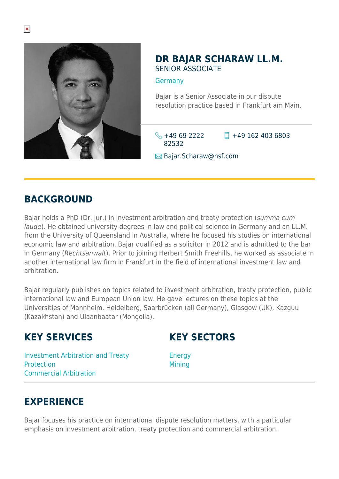

#### **DR BAJAR SCHARAW LL.M.** SENIOR ASSOCIATE

**[Germany](https://www.herbertsmithfreehills.com/where-we-work/germany)** 

Bajar is a Senior Associate in our dispute resolution practice based in Frankfurt am Main.

 $\leftarrow +49692222$ 82532  $\Box$  +49 162 403 6803

**E**Bajar.Scharaw@hsf.com

### **BACKGROUND**

Bajar holds a PhD (Dr. jur.) in investment arbitration and treaty protection (summa cum laude). He obtained university degrees in law and political science in Germany and an LL.M. from the University of Queensland in Australia, where he focused his studies on international economic law and arbitration. Bajar qualified as a solicitor in 2012 and is admitted to the bar in Germany (Rechtsanwalt). Prior to joining Herbert Smith Freehills, he worked as associate in another international law firm in Frankfurt in the field of international investment law and arbitration.

Bajar regularly publishes on topics related to investment arbitration, treaty protection, public international law and European Union law. He gave lectures on these topics at the Universities of Mannheim, Heidelberg, Saarbrücken (all Germany), Glasgow (UK), Kazguu (Kazakhstan) and Ulaanbaatar (Mongolia).

#### **KEY SERVICES**

### **KEY SECTORS**

Investment Arbitration and Treaty Protection Commercial Arbitration

Energy **Mining** 

#### **EXPERIENCE**

Bajar focuses his practice on international dispute resolution matters, with a particular emphasis on investment arbitration, treaty protection and commercial arbitration.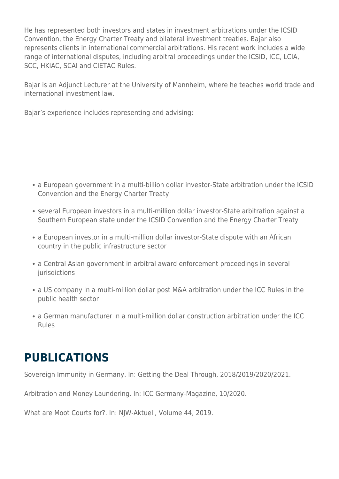He has represented both investors and states in investment arbitrations under the ICSID Convention, the Energy Charter Treaty and bilateral investment treaties. Bajar also represents clients in international commercial arbitrations. His recent work includes a wide range of international disputes, including arbitral proceedings under the ICSID, ICC, LCIA, SCC, HKIAC, SCAI and CIETAC Rules.

Bajar is an Adjunct Lecturer at the University of Mannheim, where he teaches world trade and international investment law.

Bajar's experience includes representing and advising:

- a European government in a multi-billion dollar investor-State arbitration under the ICSID Convention and the Energy Charter Treaty
- several European investors in a multi-million dollar investor-State arbitration against a Southern European state under the ICSID Convention and the Energy Charter Treaty
- a European investor in a multi-million dollar investor-State dispute with an African country in the public infrastructure sector
- a Central Asian government in arbitral award enforcement proceedings in several jurisdictions
- a US company in a multi-million dollar post M&A arbitration under the ICC Rules in the public health sector
- a German manufacturer in a multi-million dollar construction arbitration under the ICC Rules

# **PUBLICATIONS**

Sovereign Immunity in Germany. In: Getting the Deal Through, 2018/2019/2020/2021.

Arbitration and Money Laundering. In: ICC Germany-Magazine, 10/2020.

What are Moot Courts for?. In: NJW-Aktuell, Volume 44, 2019.